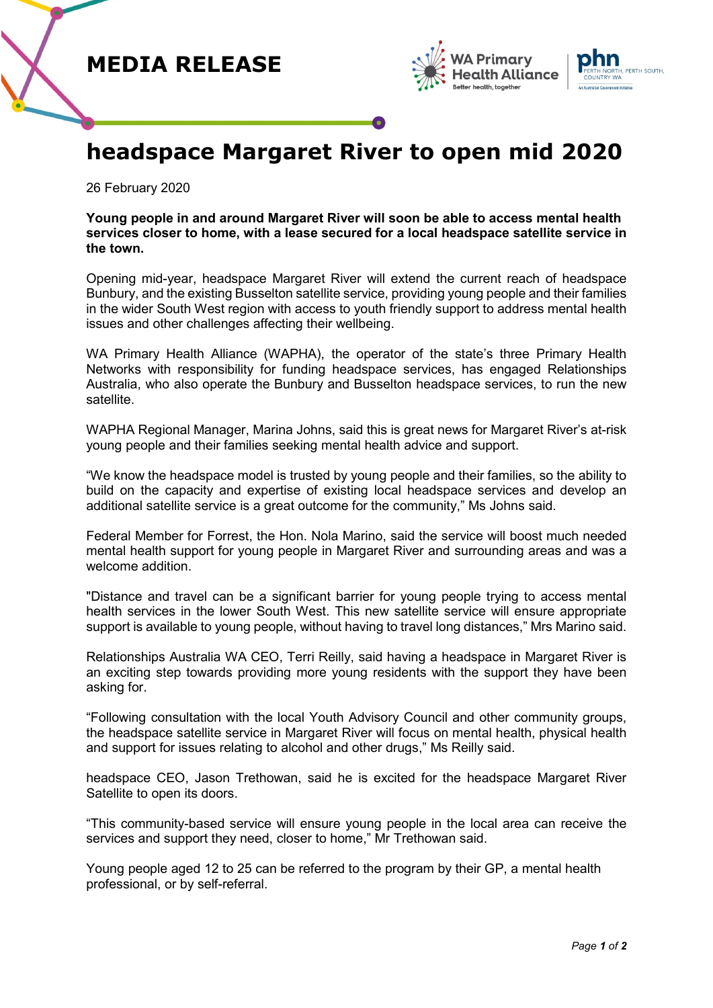





## **headspace Margaret River to open mid 2020**

26 February 2020

**Young people in and around Margaret River will soon be able to access mental health services closer to home, with a lease secured for a local headspace satellite service in the town.**

Opening mid-year, headspace Margaret River will extend the current reach of headspace Bunbury, and the existing Busselton satellite service, providing young people and their families in the wider South West region with access to youth friendly support to address mental health issues and other challenges affecting their wellbeing.

WA Primary Health Alliance (WAPHA), the operator of the state's three Primary Health Networks with responsibility for funding headspace services, has engaged Relationships Australia, who also operate the Bunbury and Busselton headspace services, to run the new satellite.

WAPHA Regional Manager, Marina Johns, said this is great news for Margaret River's at-risk young people and their families seeking mental health advice and support.

"We know the headspace model is trusted by young people and their families, so the ability to build on the capacity and expertise of existing local headspace services and develop an additional satellite service is a great outcome for the community," Ms Johns said.

Federal Member for Forrest, the Hon. Nola Marino, said the service will boost much needed mental health support for young people in Margaret River and surrounding areas and was a welcome addition.

"Distance and travel can be a significant barrier for young people trying to access mental health services in the lower South West. This new satellite service will ensure appropriate support is available to young people, without having to travel long distances," Mrs Marino said.

Relationships Australia WA CEO, Terri Reilly, said having a headspace in Margaret River is an exciting step towards providing more young residents with the support they have been asking for.

"Following consultation with the local Youth Advisory Council and other community groups, the headspace satellite service in Margaret River will focus on mental health, physical health and support for issues relating to alcohol and other drugs," Ms Reilly said.

headspace CEO, Jason Trethowan, said he is excited for the headspace Margaret River Satellite to open its doors.

"This community-based service will ensure young people in the local area can receive the services and support they need, closer to home," Mr Trethowan said.

Young people aged 12 to 25 can be referred to the program by their GP, a mental health professional, or by self-referral.